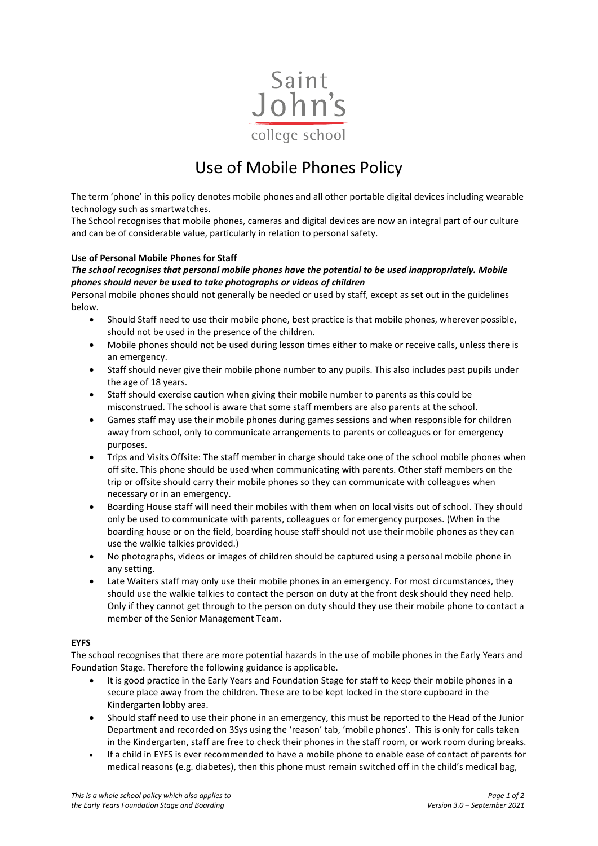

# Use of Mobile Phones Policy

The term 'phone' in this policy denotes mobile phones and all other portable digital devices including wearable technology such as smartwatches.

The School recognises that mobile phones, cameras and digital devices are now an integral part of our culture and can be of considerable value, particularly in relation to personal safety.

# **Use of Personal Mobile Phones for Staff**

# *The school recognises that personal mobile phones have the potential to be used inappropriately. Mobile phones should never be used to take photographs or videos of children*

Personal mobile phones should not generally be needed or used by staff, except as set out in the guidelines below.

- Should Staff need to use their mobile phone, best practice is that mobile phones, wherever possible, should not be used in the presence of the children.
- Mobile phones should not be used during lesson times either to make or receive calls, unless there is an emergency.
- Staff should never give their mobile phone number to any pupils. This also includes past pupils under the age of 18 years.
- Staff should exercise caution when giving their mobile number to parents as this could be misconstrued. The school is aware that some staff members are also parents at the school.
- Games staff may use their mobile phones during games sessions and when responsible for children away from school, only to communicate arrangements to parents or colleagues or for emergency purposes.
- Trips and Visits Offsite: The staff member in charge should take one of the school mobile phones when off site. This phone should be used when communicating with parents. Other staff members on the trip or offsite should carry their mobile phones so they can communicate with colleagues when necessary or in an emergency.
- Boarding House staff will need their mobiles with them when on local visits out of school. They should only be used to communicate with parents, colleagues or for emergency purposes. (When in the boarding house or on the field, boarding house staff should not use their mobile phones as they can use the walkie talkies provided.)
- No photographs, videos or images of children should be captured using a personal mobile phone in any setting.
- Late Waiters staff may only use their mobile phones in an emergency. For most circumstances, they should use the walkie talkies to contact the person on duty at the front desk should they need help. Only if they cannot get through to the person on duty should they use their mobile phone to contact a member of the Senior Management Team.

# **EYFS**

The school recognises that there are more potential hazards in the use of mobile phones in the Early Years and Foundation Stage. Therefore the following guidance is applicable.

- It is good practice in the Early Years and Foundation Stage for staff to keep their mobile phones in a secure place away from the children. These are to be kept locked in the store cupboard in the Kindergarten lobby area.
- Should staff need to use their phone in an emergency, this must be reported to the Head of the Junior Department and recorded on 3Sys using the 'reason' tab, 'mobile phones'. This is only for calls taken in the Kindergarten, staff are free to check their phones in the staff room, or work room during breaks.
- If a child in EYFS is ever recommended to have a mobile phone to enable ease of contact of parents for medical reasons (e.g. diabetes), then this phone must remain switched off in the child's medical bag,